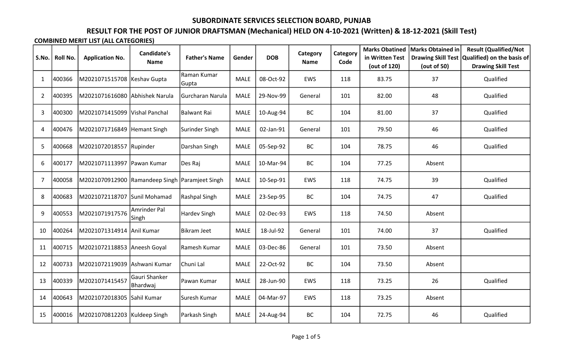# RESULT FOR THE POST OF JUNIOR DRAFTSMAN (Mechanical) HELD ON 4-10-2021 (Written) & 18-12-2021 (Skill Test)

| S.No.          | <b>Roll No.</b> | <b>Application No.</b>                         | <b>Candidate's</b><br><b>Name</b> | <b>Father's Name</b> | Gender      | <b>DOB</b> | Category<br><b>Name</b> | Category<br>Code | <b>Marks Obatined</b><br>in Written Test<br>(out of 120) | Marks Obtained in<br><b>Drawing Skill Test</b><br>(out of 50) | <b>Result (Qualified/Not</b><br>Qualified) on the basis of<br><b>Drawing Skill Test</b> |
|----------------|-----------------|------------------------------------------------|-----------------------------------|----------------------|-------------|------------|-------------------------|------------------|----------------------------------------------------------|---------------------------------------------------------------|-----------------------------------------------------------------------------------------|
| $\mathbf{1}$   | 400366          | M2021071515708 Keshav Gupta                    |                                   | Raman Kumar<br>Gupta | MALE        | 08-Oct-92  | EWS                     | 118              | 83.75                                                    | 37                                                            | Qualified                                                                               |
| $\overline{2}$ | 400395          | M2021071616080 Abhishek Narula                 |                                   | Gurcharan Narula     | <b>MALE</b> | 29-Nov-99  | General                 | 101              | 82.00                                                    | 48                                                            | Qualified                                                                               |
| 3              | 400300          | M2021071415099   Vishal Panchal                |                                   | Balwant Rai          | <b>MALE</b> | 10-Aug-94  | <b>BC</b>               | 104              | 81.00                                                    | 37                                                            | Qualified                                                                               |
| 4              | 400476          | M2021071716849 Hemant Singh                    |                                   | Surinder Singh       | <b>MALE</b> | 02-Jan-91  | General                 | 101              | 79.50                                                    | 46                                                            | Qualified                                                                               |
| 5              | 400668          | M2021072018557 Rupinder                        |                                   | Darshan Singh        | <b>MALE</b> | 05-Sep-92  | <b>BC</b>               | 104              | 78.75                                                    | 46                                                            | Qualified                                                                               |
| 6              | 400177          | M2021071113997 Pawan Kumar                     |                                   | Des Raj              | <b>MALE</b> | 10-Mar-94  | <b>BC</b>               | 104              | 77.25                                                    | Absent                                                        |                                                                                         |
| 7              | 400058          | M2021070912900 Ramandeep Singh Paramjeet Singh |                                   |                      | MALE        | 10-Sep-91  | EWS                     | 118              | 74.75                                                    | 39                                                            | Qualified                                                                               |
| 8              | 400683          | M2021072118707                                 | Sunil Mohamad                     | Rashpal Singh        | <b>MALE</b> | 23-Sep-95  | BC                      | 104              | 74.75                                                    | 47                                                            | Qualified                                                                               |
| 9              | 400553          | M2021071917576                                 | Amrinder Pal<br>Singh             | Hardev Singh         | <b>MALE</b> | 02-Dec-93  | EWS                     | 118              | 74.50                                                    | Absent                                                        |                                                                                         |
| 10             | 400264          | M2021071314914 Anil Kumar                      |                                   | Bikram Jeet          | <b>MALE</b> | 18-Jul-92  | General                 | 101              | 74.00                                                    | 37                                                            | Qualified                                                                               |
| 11             | 400715          | M2021072118853 Aneesh Goyal                    |                                   | Ramesh Kumar         | <b>MALE</b> | 03-Dec-86  | General                 | 101              | 73.50                                                    | Absent                                                        |                                                                                         |
| 12             | 400733          | M2021072119039  Ashwani Kumar                  |                                   | Chuni Lal            | <b>MALE</b> | 22-Oct-92  | BC                      | 104              | 73.50                                                    | Absent                                                        |                                                                                         |
| 13             | 400339          | M2021071415457                                 | <b>Gauri Shanker</b><br>Bhardwaj  | Pawan Kumar          | <b>MALE</b> | 28-Jun-90  | EWS                     | 118              | 73.25                                                    | 26                                                            | Qualified                                                                               |
| 14             | 400643          | M2021072018305 Sahil Kumar                     |                                   | Suresh Kumar         | <b>MALE</b> | 04-Mar-97  | EWS                     | 118              | 73.25                                                    | Absent                                                        |                                                                                         |
| 15             | 400016          | M2021070812203   Kuldeep Singh                 |                                   | Parkash Singh        | <b>MALE</b> | 24-Aug-94  | BC                      | 104              | 72.75                                                    | 46                                                            | Qualified                                                                               |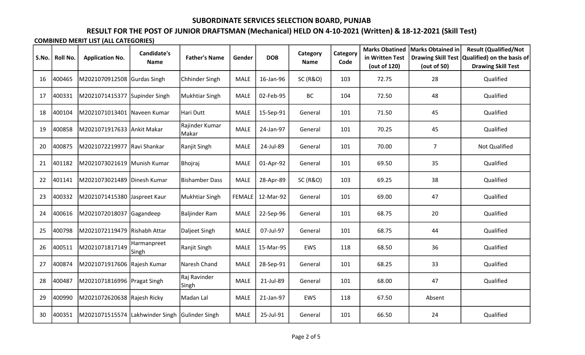# RESULT FOR THE POST OF JUNIOR DRAFTSMAN (Mechanical) HELD ON 4-10-2021 (Written) & 18-12-2021 (Skill Test)

| S.No. | Roll No. | <b>Application No.</b>                         | <b>Candidate's</b><br>Name | <b>Father's Name</b>    | Gender        | <b>DOB</b> | Category<br><b>Name</b> | Category<br>Code | <b>Marks Obatined</b><br>in Written Test<br>(out of 120) | Marks Obtained in<br>(out of 50) | <b>Result (Qualified/Not</b><br>Drawing Skill Test   Qualified) on the basis of<br><b>Drawing Skill Test</b> |
|-------|----------|------------------------------------------------|----------------------------|-------------------------|---------------|------------|-------------------------|------------------|----------------------------------------------------------|----------------------------------|--------------------------------------------------------------------------------------------------------------|
| 16    | 400465   | M2021070912508                                 | Gurdas Singh               | Chhinder Singh          | <b>MALE</b>   | 16-Jan-96  | <b>SC (R&amp;O)</b>     | 103              | 72.75                                                    | 28                               | Qualified                                                                                                    |
| 17    | 400331   | M2021071415377                                 | Supinder Singh             | Mukhtiar Singh          | <b>MALE</b>   | 02-Feb-95  | <b>BC</b>               | 104              | 72.50                                                    | 48                               | Qualified                                                                                                    |
| 18    | 400104   | M2021071013401 Naveen Kumar                    |                            | Hari Dutt               | <b>MALE</b>   | 15-Sep-91  | General                 | 101              | 71.50                                                    | 45                               | Qualified                                                                                                    |
| 19    | 400858   | M2021071917633 Ankit Makar                     |                            | Rajinder Kumar<br>Makar | MALE          | 24-Jan-97  | General                 | 101              | 70.25                                                    | 45                               | Qualified                                                                                                    |
| 20    | 400875   | M2021072219977 Ravi Shankar                    |                            | Ranjit Singh            | <b>MALE</b>   | 24-Jul-89  | General                 | 101              | 70.00                                                    | $\overline{7}$                   | Not Qualified                                                                                                |
| 21    | 401182   | M2021073021619 Munish Kumar                    |                            | Bhojraj                 | <b>MALE</b>   | 01-Apr-92  | General                 | 101              | 69.50                                                    | 35                               | Qualified                                                                                                    |
| 22    | 401141   | M2021073021489                                 | Dinesh Kumar               | Bishamber Dass          | <b>MALE</b>   | 28-Apr-89  | <b>SC (R&amp;O)</b>     | 103              | 69.25                                                    | 38                               | Qualified                                                                                                    |
| 23    | 400332   | M2021071415380 Jaspreet Kaur                   |                            | Mukhtiar Singh          | <b>FEMALE</b> | 12-Mar-92  | General                 | 101              | 69.00                                                    | 47                               | Qualified                                                                                                    |
| 24    | 400616   | M2021072018037                                 | Gagandeep                  | Baljinder Ram           | <b>MALE</b>   | 22-Sep-96  | General                 | 101              | 68.75                                                    | 20                               | Qualified                                                                                                    |
| 25    | 400798   | M2021072119479 Rishabh Attar                   |                            | Daljeet Singh           | <b>MALE</b>   | 07-Jul-97  | General                 | 101              | 68.75                                                    | 44                               | Qualified                                                                                                    |
| 26    | 400511   | M2021071817149                                 | Harmanpreet<br>Singh       | Ranjit Singh            | <b>MALE</b>   | 15-Mar-95  | EWS                     | 118              | 68.50                                                    | 36                               | Qualified                                                                                                    |
| 27    | 400874   | M2021071917606 Rajesh Kumar                    |                            | Naresh Chand            | <b>MALE</b>   | 28-Sep-91  | General                 | 101              | 68.25                                                    | 33                               | Qualified                                                                                                    |
| 28    | 400487   | M2021071816996 Pragat Singh                    |                            | Raj Ravinder<br>Singh   | <b>MALE</b>   | 21-Jul-89  | General                 | 101              | 68.00                                                    | 47                               | Qualified                                                                                                    |
| 29    | 400990   | M2021072620638 Rajesh Ricky                    |                            | Madan Lal               | <b>MALE</b>   | 21-Jan-97  | EWS                     | 118              | 67.50                                                    | Absent                           |                                                                                                              |
| 30    | 400351   | M2021071515574 Lakhwinder Singh Gulinder Singh |                            |                         | <b>MALE</b>   | 25-Jul-91  | General                 | 101              | 66.50                                                    | 24                               | Qualified                                                                                                    |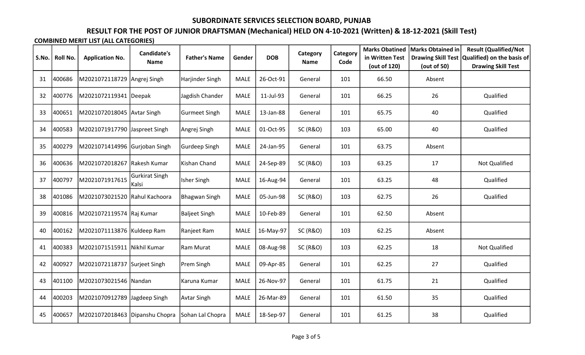# RESULT FOR THE POST OF JUNIOR DRAFTSMAN (Mechanical) HELD ON 4-10-2021 (Written) & 18-12-2021 (Skill Test)

| S.No. | Roll No. | <b>Application No.</b>         | <b>Candidate's</b><br>Name      | <b>Father's Name</b> | Gender      | <b>DOB</b> | Category<br><b>Name</b> | Category<br>Code | <b>Marks Obatined</b><br>in Written Test<br>(out of 120) | Marks Obtained in<br>(out of 50) | <b>Result (Qualified/Not</b><br>Drawing Skill Test   Qualified) on the basis of<br><b>Drawing Skill Test</b> |
|-------|----------|--------------------------------|---------------------------------|----------------------|-------------|------------|-------------------------|------------------|----------------------------------------------------------|----------------------------------|--------------------------------------------------------------------------------------------------------------|
| 31    | 400686   | M2021072118729 Angrej Singh    |                                 | Harjinder Singh      | MALE        | 26-Oct-91  | General                 | 101              | 66.50                                                    | Absent                           |                                                                                                              |
| 32    | 400776   | M2021072119341 Deepak          |                                 | Jagdish Chander      | <b>MALE</b> | 11-Jul-93  | General                 | 101              | 66.25                                                    | 26                               | Qualified                                                                                                    |
| 33    | 400651   | M2021072018045 Avtar Singh     |                                 | Gurmeet Singh        | MALE        | 13-Jan-88  | General                 | 101              | 65.75                                                    | 40                               | Qualified                                                                                                    |
| 34    | 400583   | M2021071917790 Jaspreet Singh  |                                 | Angrej Singh         | <b>MALE</b> | 01-Oct-95  | <b>SC (R&amp;O)</b>     | 103              | 65.00                                                    | 40                               | Qualified                                                                                                    |
| 35    | 400279   | M2021071414996 Gurjoban Singh  |                                 | Gurdeep Singh        | <b>MALE</b> | 24-Jan-95  | General                 | 101              | 63.75                                                    | Absent                           |                                                                                                              |
| 36    | 400636   | M2021072018267                 | Rakesh Kumar                    | Kishan Chand         | <b>MALE</b> | 24-Sep-89  | <b>SC (R&amp;O)</b>     | 103              | 63.25                                                    | 17                               | <b>Not Qualified</b>                                                                                         |
| 37    | 400797   | M2021071917615                 | <b>Gurkirat Singh</b><br> Kalsi | Isher Singh          | <b>MALE</b> | 16-Aug-94  | General                 | 101              | 63.25                                                    | 48                               | Qualified                                                                                                    |
| 38    | 401086   | M2021073021520                 | Rahul Kachoora                  | Bhagwan Singh        | <b>MALE</b> | 05-Jun-98  | <b>SC (R&amp;O)</b>     | 103              | 62.75                                                    | 26                               | Qualified                                                                                                    |
| 39    | 400816   | M2021072119574  Raj Kumar      |                                 | Baljeet Singh        | <b>MALE</b> | 10-Feb-89  | General                 | 101              | 62.50                                                    | Absent                           |                                                                                                              |
| 40    | 400162   | M2021071113876 Kuldeep Ram     |                                 | Ranjeet Ram          | <b>MALE</b> | 16-May-97  | <b>SC (R&amp;O)</b>     | 103              | 62.25                                                    | Absent                           |                                                                                                              |
| 41    | 400383   | M2021071515911  Nikhil Kumar   |                                 | Ram Murat            | <b>MALE</b> | 08-Aug-98  | <b>SC (R&amp;O)</b>     | 103              | 62.25                                                    | 18                               | <b>Not Qualified</b>                                                                                         |
| 42    | 400927   | M2021072118737                 | Surjeet Singh                   | Prem Singh           | <b>MALE</b> | 09-Apr-85  | General                 | 101              | 62.25                                                    | 27                               | Qualified                                                                                                    |
| 43    | 401100   | M2021073021546 Nandan          |                                 | Karuna Kumar         | <b>MALE</b> | 26-Nov-97  | General                 | 101              | 61.75                                                    | 21                               | Qualified                                                                                                    |
| 44    | 400203   | M2021070912789 Jagdeep Singh   |                                 | <b>Avtar Singh</b>   | <b>MALE</b> | 26-Mar-89  | General                 | 101              | 61.50                                                    | 35                               | Qualified                                                                                                    |
| 45    | 400657   | M2021072018463 Dipanshu Chopra |                                 | Sohan Lal Chopra     | <b>MALE</b> | 18-Sep-97  | General                 | 101              | 61.25                                                    | 38                               | Qualified                                                                                                    |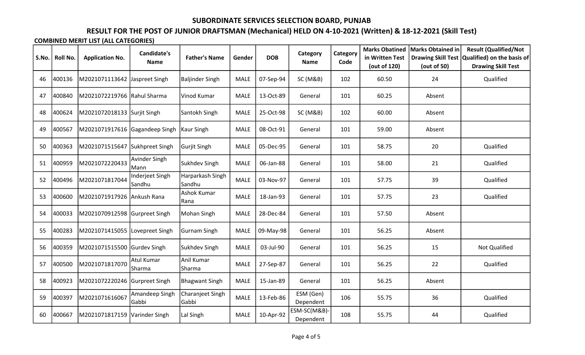# RESULT FOR THE POST OF JUNIOR DRAFTSMAN (Mechanical) HELD ON 4-10-2021 (Written) & 18-12-2021 (Skill Test)

| S.No. | Roll No. | <b>Application No.</b>         | <b>Candidate's</b><br>Name | <b>Father's Name</b>              | Gender      | <b>DOB</b> | Category<br><b>Name</b>   | Category<br>Code | <b>Marks Obatined</b><br>in Written Test<br>(out of 120) | Marks Obtained in<br>(out of 50) | <b>Result (Qualified/Not</b><br>Drawing Skill Test   Qualified) on the basis of<br><b>Drawing Skill Test</b> |
|-------|----------|--------------------------------|----------------------------|-----------------------------------|-------------|------------|---------------------------|------------------|----------------------------------------------------------|----------------------------------|--------------------------------------------------------------------------------------------------------------|
| 46    | 400136   | M2021071113642 Jaspreet Singh  |                            | Baljinder Singh                   | <b>MALE</b> | 07-Sep-94  | SC (M&B)                  | 102              | 60.50                                                    | 24                               | Qualified                                                                                                    |
| 47    | 400840   | M2021072219766 Rahul Sharma    |                            | Vinod Kumar                       | <b>MALE</b> | 13-Oct-89  | General                   | 101              | 60.25                                                    | Absent                           |                                                                                                              |
| 48    | 400624   | M2021072018133 Surjit Singh    |                            | Santokh Singh                     | <b>MALE</b> | 25-Oct-98  | SC (M&B)                  | 102              | 60.00                                                    | Absent                           |                                                                                                              |
| 49    | 400567   | M2021071917616 Gagandeep Singh |                            | Kaur Singh                        | <b>MALE</b> | 08-Oct-91  | General                   | 101              | 59.00                                                    | Absent                           |                                                                                                              |
| 50    | 400363   | M2021071515647                 | Sukhpreet Singh            | Gurjit Singh                      | <b>MALE</b> | 05-Dec-95  | General                   | 101              | 58.75                                                    | 20                               | Qualified                                                                                                    |
| 51    | 400959   | M2021072220433                 | Avinder Singh<br>Mann      | Sukhdev Singh                     | <b>MALE</b> | 06-Jan-88  | General                   | 101              | 58.00                                                    | 21                               | Qualified                                                                                                    |
| 52    | 400496   | M2021071817044                 | Inderjeet Singh<br>Sandhu  | Harparkash Singh<br><b>Sandhu</b> | MALE        | 03-Nov-97  | General                   | 101              | 57.75                                                    | 39                               | Qualified                                                                                                    |
| 53    | 400600   | M2021071917926 Ankush Rana     |                            | Ashok Kumar<br>Rana               | <b>MALE</b> | 18-Jan-93  | General                   | 101              | 57.75                                                    | 23                               | Qualified                                                                                                    |
| 54    | 400033   | M2021070912598 Gurpreet Singh  |                            | Mohan Singh                       | <b>MALE</b> | 28-Dec-84  | General                   | 101              | 57.50                                                    | Absent                           |                                                                                                              |
| 55    | 400283   | M2021071415055 Lovepreet Singh |                            | Gurnam Singh                      | <b>MALE</b> | 09-May-98  | General                   | 101              | 56.25                                                    | Absent                           |                                                                                                              |
| 56    | 400359   | M2021071515500                 | Gurdev Singh               | Sukhdev Singh                     | <b>MALE</b> | 03-Jul-90  | General                   | 101              | 56.25                                                    | 15                               | Not Qualified                                                                                                |
| 57    | 400500   | M2021071817070                 | Atul Kumar<br> Sharma      | Anil Kumar<br> Sharma             | MALE        | 27-Sep-87  | General                   | 101              | 56.25                                                    | 22                               | Qualified                                                                                                    |
| 58    | 400923   | M2021072220246                 | Gurpreet Singh             | <b>Bhagwant Singh</b>             | <b>MALE</b> | 15-Jan-89  | General                   | 101              | 56.25                                                    | Absent                           |                                                                                                              |
| 59    | 400397   | M2021071616067                 | Amandeep Singh<br> Gabbi   | Charanjeet Singh<br>Gabbi         | <b>MALE</b> | 13-Feb-86  | ESM (Gen)<br>Dependent    | 106              | 55.75                                                    | 36                               | Qualified                                                                                                    |
| 60    | 400667   | M2021071817159                 | Varinder Singh             | Lal Singh                         | <b>MALE</b> | 10-Apr-92  | ESM-SC(M&B)-<br>Dependent | 108              | 55.75                                                    | 44                               | Qualified                                                                                                    |